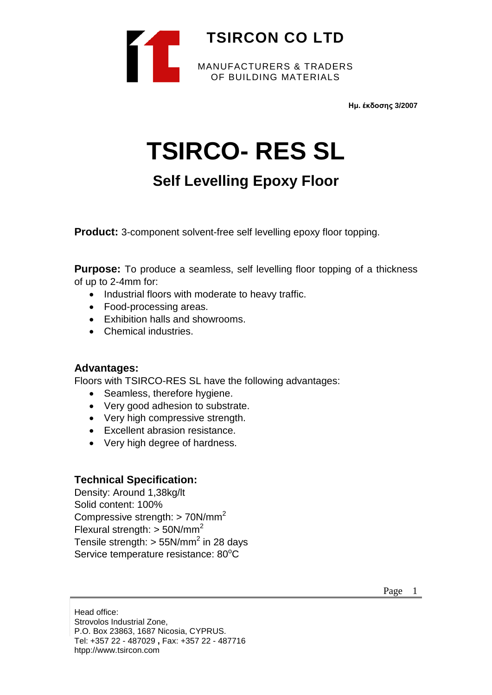

**Ημ. έκδοσης 3/2007**

# **TSIRCO- RES SL**

# **Self Levelling Epoxy Floor**

**Product:** 3-component solvent-free self levelling epoxy floor topping.

**Purpose:** To produce a seamless, self levelling floor topping of a thickness of up to 2-4mm for:

- Industrial floors with moderate to heavy traffic.
- Food-processing areas.
- Exhibition halls and showrooms.
- Chemical industries.

### **Advantages:**

Floors with TSIRCO-RES SL have the following advantages:

- Seamless, therefore hygiene.
- Very good adhesion to substrate.
- Very high compressive strength.
- Excellent abrasion resistance.
- Very high degree of hardness.

# **Technical Specification:**

Density: Around 1,38kg/lt Solid content: 100% Compressive strength: > 70N/mm<sup>2</sup> Flexural strength:  $>$  50N/mm<sup>2</sup> Tensile strength:  $> 55N/mm^2$  in 28 days Service temperature resistance: 80°C

Head office: Strovolos Industrial Zone, P.O. Box 23863, 1687 Nicosia, CYPRUS. Tel: +357 22 - 487029 **,** Fax: +357 22 - 487716 htpp://www.tsircon.com

Page 1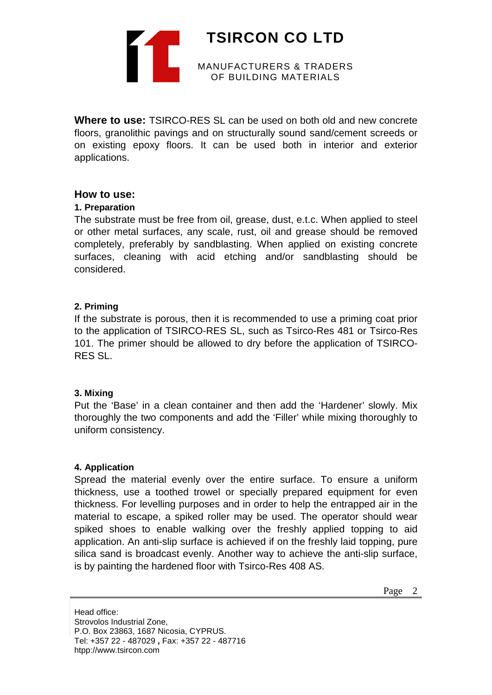

**Where to use:** TSIRCO-RES SL can be used on both old and new concrete floors, granolithic pavings and on structurally sound sand/cement screeds or on existing epoxy floors. It can be used both in interior and exterior applications.

## **How to use:**

#### **1. Preparation**

The substrate must be free from oil, grease, dust, e.t.c. When applied to steel or other metal surfaces, any scale, rust, oil and grease should be removed completely, preferably by sandblasting. When applied on existing concrete surfaces, cleaning with acid etching and/or sandblasting should be considered.

### **2. Priming**

If the substrate is porous, then it is recommended to use a priming coat prior to the application of TSIRCO-RES SL, such as Tsirco-Res 481 or Tsirco-Res 101. The primer should be allowed to dry before the application of TSIRCO-RES SL.

#### **3. Mixing**

Put the 'Base' in a clean container and then add the 'Hardener' slowly. Mix thoroughly the two components and add the 'Filler' while mixing thoroughly to uniform consistency.

#### **4. Application**

Spread the material evenly over the entire surface. To ensure a uniform thickness, use a toothed trowel or specially prepared equipment for even thickness. For levelling purposes and in order to help the entrapped air in the material to escape, a spiked roller may be used. The operator should wear spiked shoes to enable walking over the freshly applied topping to aid application. An anti-slip surface is achieved if on the freshly laid topping, pure silica sand is broadcast evenly. Another way to achieve the anti-slip surface, is by painting the hardened floor with Tsirco-Res 408 AS.

Head office: Strovolos Industrial Zone, P.O. Box 23863, 1687 Nicosia, CYPRUS. Tel: +357 22 - 487029 **,** Fax: +357 22 - 487716 htpp://www.tsircon.com